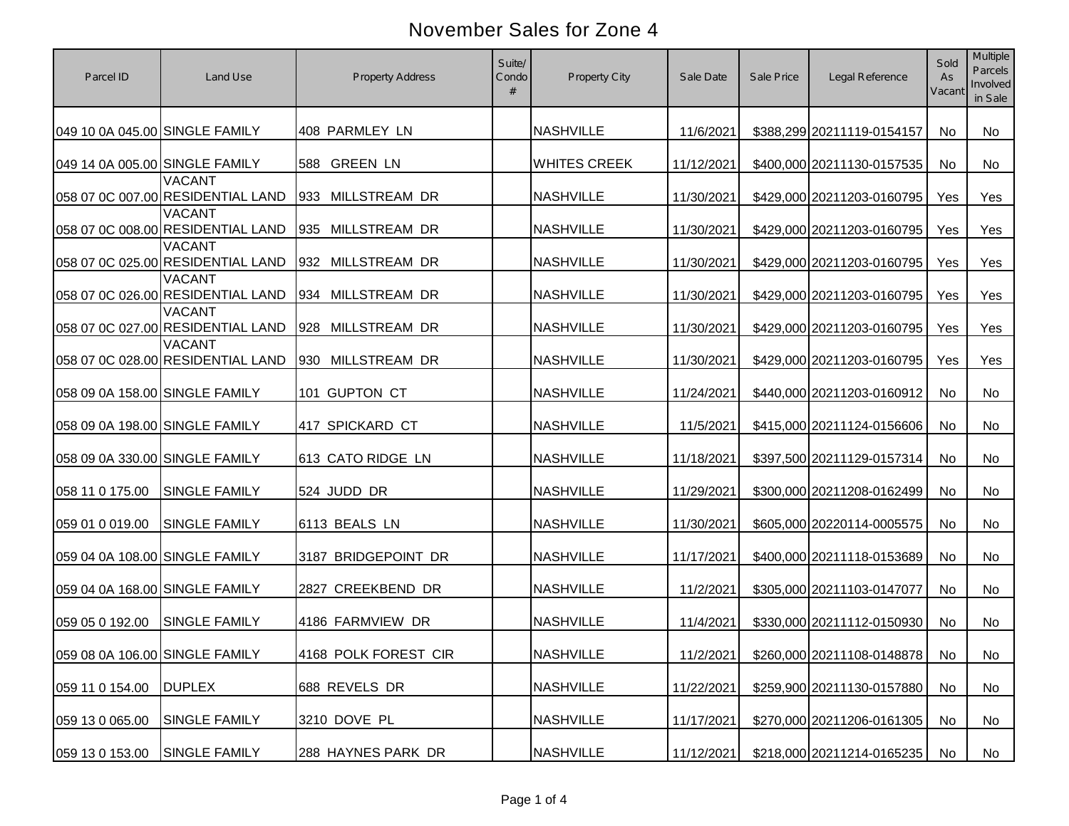| Parcel ID                      | Land Use                                           | <b>Property Address</b> | Suite/<br>Condo | <b>Property City</b> | Sale Date  | Sale Price | Legal Reference            | Sold<br>As<br>Vacant | <b>Multiple</b><br>Parcels<br>Involved<br>in Sale |
|--------------------------------|----------------------------------------------------|-------------------------|-----------------|----------------------|------------|------------|----------------------------|----------------------|---------------------------------------------------|
| 049 10 0A 045.00 SINGLE FAMILY |                                                    | 408 PARMLEY LN          |                 | <b>NASHVILLE</b>     | 11/6/2021  |            | \$388,299 20211119-0154157 | No                   | <b>No</b>                                         |
| 049 14 0A 005.00 SINGLE FAMILY |                                                    | 588 GREEN LN            |                 | <b>WHITES CREEK</b>  | 11/12/2021 |            | \$400,000 20211130-0157535 | No                   | No                                                |
|                                | <b>VACANT</b><br>058 07 0C 007.00 RESIDENTIAL LAND | 933 MILLSTREAM DR       |                 | <b>NASHVILLE</b>     | 11/30/2021 |            | \$429,000 20211203-0160795 | Yes                  | Yes                                               |
|                                | <b>VACANT</b><br>058 07 0C 008.00 RESIDENTIAL LAND | 935 MILLSTREAM DR       |                 | <b>NASHVILLE</b>     | 11/30/2021 |            | \$429,000 20211203-0160795 | Yes                  | Yes                                               |
|                                | <b>VACANT</b><br>058 07 0C 025.00 RESIDENTIAL LAND | 932 MILLSTREAM DR       |                 | <b>NASHVILLE</b>     | 11/30/2021 |            | \$429,000 20211203-0160795 | Yes                  | Yes                                               |
|                                | <b>VACANT</b><br>058 07 0C 026.00 RESIDENTIAL LAND | 934 MILLSTREAM DR       |                 | <b>NASHVILLE</b>     | 11/30/2021 |            | \$429,000 20211203-0160795 | Yes                  | Yes                                               |
|                                | <b>VACANT</b><br>058 07 0C 027.00 RESIDENTIAL LAND | 928 MILLSTREAM DR       |                 | <b>NASHVILLE</b>     | 11/30/2021 |            | \$429,000 20211203-0160795 | Yes                  | Yes                                               |
|                                | <b>VACANT</b><br>058 07 0C 028.00 RESIDENTIAL LAND | 930 MILLSTREAM DR       |                 | <b>NASHVILLE</b>     | 11/30/2021 |            | \$429,000 20211203-0160795 | Yes                  | Yes                                               |
| 058 09 0A 158.00 SINGLE FAMILY |                                                    | 101 GUPTON CT           |                 | <b>NASHVILLE</b>     | 11/24/2021 |            | \$440,000 20211203-0160912 | No                   | <b>No</b>                                         |
| 058 09 0A 198.00 SINGLE FAMILY |                                                    | 417 SPICKARD CT         |                 | <b>NASHVILLE</b>     | 11/5/2021  |            | \$415,000 20211124-0156606 | No                   | <b>No</b>                                         |
| 058 09 0A 330.00 SINGLE FAMILY |                                                    | 613 CATO RIDGE LN       |                 | <b>NASHVILLE</b>     | 11/18/2021 |            | \$397,500 20211129-0157314 | No                   | <b>No</b>                                         |
| 058 11 0 175.00                | <b>SINGLE FAMILY</b>                               | 524 JUDD DR             |                 | <b>NASHVILLE</b>     | 11/29/2021 |            | \$300,000 20211208-0162499 | No                   | <b>No</b>                                         |
| 059 01 0 019.00                | <b>SINGLE FAMILY</b>                               | 6113 BEALS LN           |                 | <b>NASHVILLE</b>     | 11/30/2021 |            | \$605,000 20220114-0005575 | No                   | <b>No</b>                                         |
| 059 04 0A 108.00 SINGLE FAMILY |                                                    | 3187 BRIDGEPOINT DR     |                 | <b>NASHVILLE</b>     | 11/17/2021 |            | \$400,000 20211118-0153689 | No                   | <b>No</b>                                         |
| 059 04 0A 168.00 SINGLE FAMILY |                                                    | 2827 CREEKBEND DR       |                 | <b>NASHVILLE</b>     | 11/2/2021  |            | \$305,000 20211103-0147077 | No                   | <b>No</b>                                         |
| 059 05 0 192.00                | <b>SINGLE FAMILY</b>                               | 4186 FARMVIEW DR        |                 | <b>NASHVILLE</b>     | 11/4/2021  |            | \$330,000 20211112-0150930 | No                   | <b>No</b>                                         |
| 059 08 0A 106.00 SINGLE FAMILY |                                                    | 4168 POLK FOREST CIR    |                 | <b>NASHVILLE</b>     | 11/2/2021  |            | \$260,000 20211108-0148878 | No                   | No                                                |
| 059 11 0 154.00                | <b>DUPLEX</b>                                      | 688 REVELS DR           |                 | <b>NASHVILLE</b>     | 11/22/2021 |            | \$259,900 20211130-0157880 | No                   | No                                                |
| 059 13 0 065.00                | <b>SINGLE FAMILY</b>                               | 3210 DOVE PL            |                 | <b>NASHVILLE</b>     | 11/17/2021 |            | \$270,000 20211206-0161305 | No                   | No                                                |
| 059 13 0 153.00                | <b>SINGLE FAMILY</b>                               | 288 HAYNES PARK DR      |                 | <b>NASHVILLE</b>     | 11/12/2021 |            | \$218,000 20211214-0165235 | No                   | No                                                |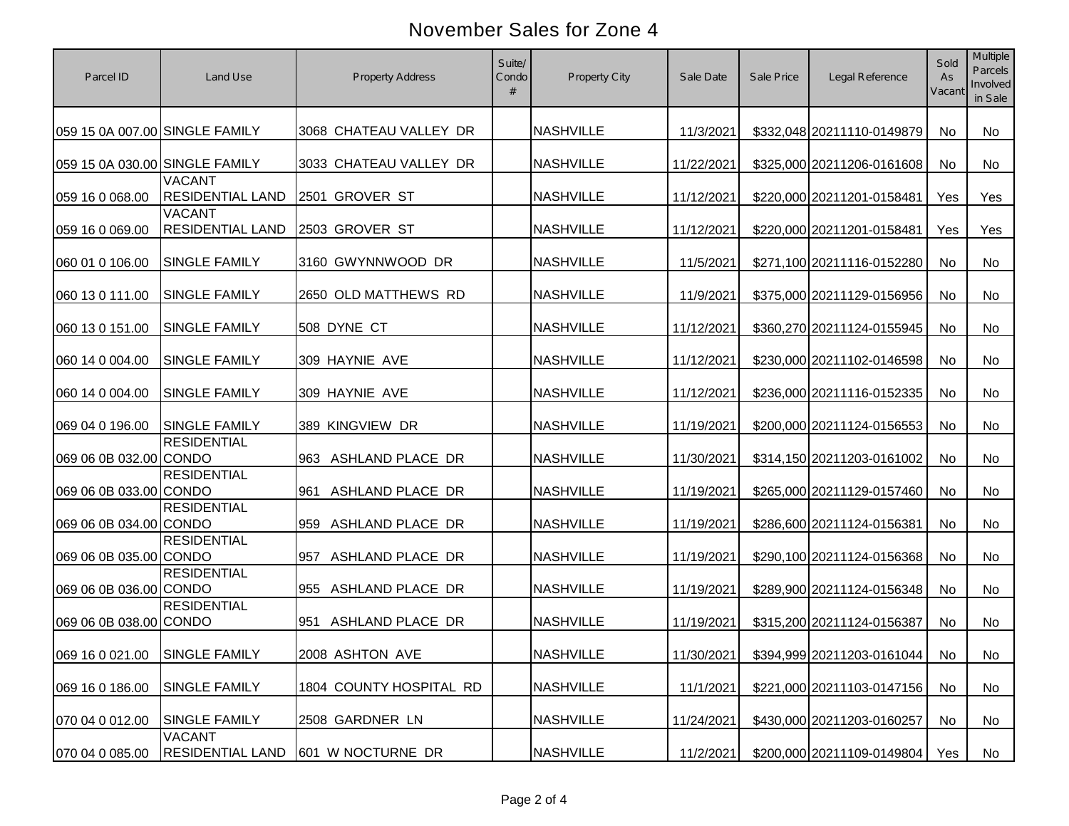| Parcel ID                      | Land Use                                 | <b>Property Address</b> | Suite/<br>Condo | <b>Property City</b> | Sale Date  | Sale Price | Legal Reference            | Sold<br>As<br>Vacant | Multiple<br>Parcels<br>Involved<br>in Sale |
|--------------------------------|------------------------------------------|-------------------------|-----------------|----------------------|------------|------------|----------------------------|----------------------|--------------------------------------------|
| 059 15 0A 007.00 SINGLE FAMILY |                                          | 3068 CHATEAU VALLEY DR  |                 | <b>NASHVILLE</b>     | 11/3/2021  |            | \$332,048 20211110-0149879 | No                   | No                                         |
| 059 15 0A 030.00 SINGLE FAMILY |                                          | 3033 CHATEAU VALLEY DR  |                 | <b>NASHVILLE</b>     | 11/22/2021 |            | \$325,000 20211206-0161608 | No                   | <b>No</b>                                  |
| 059 16 0 068.00                | <b>VACANT</b><br><b>RESIDENTIAL LAND</b> | 2501 GROVER ST          |                 | <b>NASHVILLE</b>     | 11/12/2021 |            | \$220,000 20211201-0158481 | Yes                  | Yes                                        |
| 059 16 0 069.00                | <b>VACANT</b><br><b>RESIDENTIAL LAND</b> | 2503 GROVER ST          |                 | <b>NASHVILLE</b>     | 11/12/2021 |            | \$220,000 20211201-0158481 | Yes                  | Yes                                        |
| 060 01 0 106.00                | <b>SINGLE FAMILY</b>                     | 3160 GWYNNWOOD DR       |                 | <b>NASHVILLE</b>     | 11/5/2021  |            | \$271,100 20211116-0152280 | No                   | <b>No</b>                                  |
| 060 13 0 111.00                | <b>SINGLE FAMILY</b>                     | 2650 OLD MATTHEWS RD    |                 | <b>NASHVILLE</b>     | 11/9/2021  |            | \$375,000 20211129-0156956 | No                   | No                                         |
| 060 13 0 151.00                | <b>SINGLE FAMILY</b>                     | 508 DYNE CT             |                 | <b>NASHVILLE</b>     | 11/12/2021 |            | \$360,270 20211124-0155945 | No                   | No                                         |
| 060 14 0 004.00                | <b>SINGLE FAMILY</b>                     | 309 HAYNIE AVE          |                 | <b>NASHVILLE</b>     | 11/12/2021 |            | \$230,000 20211102-0146598 | No                   | <b>No</b>                                  |
| 060 14 0 004.00                | <b>SINGLE FAMILY</b>                     | 309 HAYNIE AVE          |                 | <b>NASHVILLE</b>     | 11/12/2021 |            | \$236,000 20211116-0152335 | No                   | No                                         |
| 069 04 0 196.00                | <b>SINGLE FAMILY</b>                     | 389 KINGVIEW DR         |                 | <b>NASHVILLE</b>     | 11/19/2021 |            | \$200,000 20211124-0156553 | No                   | No                                         |
| 069 06 0B 032.00 CONDO         | <b>RESIDENTIAL</b>                       | 963 ASHLAND PLACE DR    |                 | <b>NASHVILLE</b>     | 11/30/2021 |            | \$314,150 20211203-0161002 | No                   | No                                         |
| 069 06 0B 033.00 CONDO         | <b>RESIDENTIAL</b>                       | ASHLAND PLACE DR<br>961 |                 | <b>NASHVILLE</b>     | 11/19/2021 |            | \$265,000 20211129-0157460 | No                   | No                                         |
| 069 06 0B 034.00 CONDO         | <b>RESIDENTIAL</b>                       | 959 ASHLAND PLACE DR    |                 | <b>NASHVILLE</b>     | 11/19/2021 |            | \$286,600 20211124-0156381 | No                   | No                                         |
| 069 06 0B 035.00 CONDO         | <b>RESIDENTIAL</b>                       | 957<br>ASHLAND PLACE DR |                 | <b>NASHVILLE</b>     | 11/19/2021 |            | \$290,100 20211124-0156368 | No                   | No                                         |
| 069 06 0B 036.00 CONDO         | <b>RESIDENTIAL</b>                       | 955 ASHLAND PLACE DR    |                 | <b>NASHVILLE</b>     | 11/19/2021 |            | \$289,900 20211124-0156348 | No                   | No                                         |
| 069 06 0B 038.00 CONDO         | <b>RESIDENTIAL</b>                       | 951 ASHLAND PLACE DR    |                 | <b>NASHVILLE</b>     | 11/19/2021 |            | \$315,200 20211124-0156387 | No                   | No                                         |
| 069 16 0 021.00 SINGLE FAMILY  |                                          | 2008 ASHTON AVE         |                 | <b>NASHVILLE</b>     | 11/30/2021 |            | \$394,999 20211203-0161044 | No                   | No                                         |
| 069 16 0 186.00                | <b>SINGLE FAMILY</b>                     | 1804 COUNTY HOSPITAL RD |                 | <b>NASHVILLE</b>     | 11/1/2021  |            | \$221,000 20211103-0147156 | No                   | No                                         |
| 070 04 0 012.00                | <b>SINGLE FAMILY</b>                     | 2508 GARDNER LN         |                 | <b>NASHVILLE</b>     | 11/24/2021 |            | \$430,000 20211203-0160257 | No                   | No                                         |
| 070 04 0 085.00                | <b>VACANT</b><br><b>RESIDENTIAL LAND</b> | 601 W NOCTURNE DR       |                 | <b>NASHVILLE</b>     | 11/2/2021  |            | \$200,000 20211109-0149804 | Yes                  | No                                         |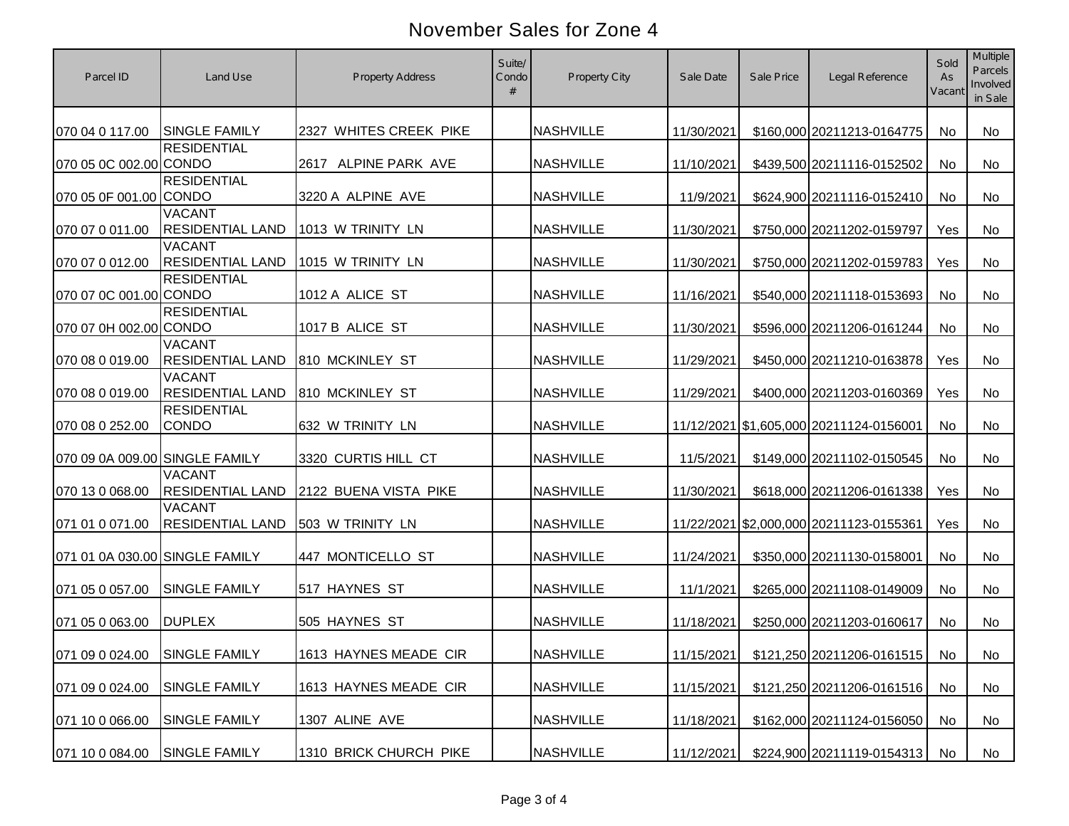| Parcel ID                      | Land Use                                 | <b>Property Address</b> | Suite/<br>Condo | <b>Property City</b> | Sale Date  | Sale Price | Legal Reference                         | Sold<br>As<br>Vacant | <b>Multiple</b><br>Parcels<br>Involved<br>in Sale |
|--------------------------------|------------------------------------------|-------------------------|-----------------|----------------------|------------|------------|-----------------------------------------|----------------------|---------------------------------------------------|
| 070 04 0 117.00                | <b>SINGLE FAMILY</b>                     | 2327 WHITES CREEK PIKE  |                 | <b>NASHVILLE</b>     | 11/30/2021 |            | \$160,000 20211213-0164775              | <b>No</b>            | <b>No</b>                                         |
| 070 05 0C 002.00 CONDO         | <b>RESIDENTIAL</b>                       | 2617 ALPINE PARK AVE    |                 | <b>NASHVILLE</b>     | 11/10/2021 |            | \$439,500 20211116-0152502              | No                   | No                                                |
| 070 05 0F 001.00 CONDO         | <b>RESIDENTIAL</b>                       | 3220 A ALPINE AVE       |                 | <b>NASHVILLE</b>     | 11/9/2021  |            | \$624,900 20211116-0152410              | No                   | <b>No</b>                                         |
| 070 07 0 011.00                | <b>VACANT</b><br><b>RESIDENTIAL LAND</b> | 1013 W TRINITY LN       |                 | <b>NASHVILLE</b>     | 11/30/2021 |            | \$750,000 20211202-0159797              | Yes                  | <b>No</b>                                         |
| 070 07 0 012.00                | <b>VACANT</b><br><b>RESIDENTIAL LAND</b> | 1015 W TRINITY LN       |                 | <b>NASHVILLE</b>     | 11/30/2021 |            | \$750,000 20211202-0159783              | Yes                  | <b>No</b>                                         |
| 070 07 0C 001.00 CONDO         | <b>RESIDENTIAL</b>                       | 1012 A ALICE ST         |                 | <b>NASHVILLE</b>     | 11/16/2021 |            | \$540,000 20211118-0153693              | No                   | No                                                |
| 070 07 0H 002.00 CONDO         | <b>RESIDENTIAL</b>                       | 1017 B ALICE ST         |                 | <b>NASHVILLE</b>     | 11/30/2021 |            | \$596,000 20211206-0161244              | No                   | No                                                |
| 070 08 0 019.00                | <b>VACANT</b><br><b>RESIDENTIAL LAND</b> | 810 MCKINLEY ST         |                 | <b>NASHVILLE</b>     | 11/29/2021 |            | \$450,000 20211210-0163878              | Yes                  | No                                                |
| 070 08 0 019.00                | <b>VACANT</b><br><b>RESIDENTIAL LAND</b> | 810 MCKINLEY ST         |                 | <b>NASHVILLE</b>     | 11/29/2021 |            | \$400,000 20211203-0160369              | Yes                  | <b>No</b>                                         |
| 070 08 0 252.00                | <b>RESIDENTIAL</b><br><b>CONDO</b>       | 632 W TRINITY LN        |                 | <b>NASHVILLE</b>     |            |            | 11/12/2021 \$1,605,000 20211124-0156001 | No                   | <b>No</b>                                         |
| 070 09 0A 009.00 SINGLE FAMILY |                                          | 3320 CURTIS HILL CT     |                 | <b>NASHVILLE</b>     | 11/5/2021  |            | \$149,000 20211102-0150545              | No                   | <b>No</b>                                         |
| 070 13 0 068.00                | <b>VACANT</b><br><b>RESIDENTIAL LAND</b> | 2122 BUENA VISTA PIKE   |                 | <b>NASHVILLE</b>     | 11/30/2021 |            | \$618,000 20211206-0161338              | Yes                  | <b>No</b>                                         |
| 071 01 0 071.00                | <b>VACANT</b><br><b>RESIDENTIAL LAND</b> | 503 W TRINITY LN        |                 | <b>NASHVILLE</b>     |            |            | 11/22/2021 \$2,000,000 20211123-0155361 | Yes                  | <b>No</b>                                         |
| 071 01 0A 030.00 SINGLE FAMILY |                                          | 447 MONTICELLO ST       |                 | <b>NASHVILLE</b>     | 11/24/2021 |            | \$350,000 20211130-0158001              | No                   | <b>No</b>                                         |
| 071 05 0 057.00                | <b>SINGLE FAMILY</b>                     | 517 HAYNES ST           |                 | <b>NASHVILLE</b>     | 11/1/2021  |            | \$265,000 20211108-0149009              | No                   | <b>No</b>                                         |
| 071 05 0 063.00                | <b>DUPLEX</b>                            | 505 HAYNES ST           |                 | <b>NASHVILLE</b>     | 11/18/2021 |            | \$250,000 20211203-0160617              | No                   | <b>No</b>                                         |
| 071 09 0 024.00 SINGLE FAMILY  |                                          | 1613 HAYNES MEADE CIR   |                 | <b>NASHVILLE</b>     | 11/15/2021 |            | \$121,250 20211206-0161515              | No                   | No                                                |
| 071 09 0 024.00                | <b>SINGLE FAMILY</b>                     | 1613 HAYNES MEADE CIR   |                 | <b>NASHVILLE</b>     | 11/15/2021 |            | \$121,250 20211206-0161516              | No                   | No                                                |
| 071 10 0 066.00                | <b>SINGLE FAMILY</b>                     | 1307 ALINE AVE          |                 | <b>NASHVILLE</b>     | 11/18/2021 |            | \$162,000 20211124-0156050              | No                   | No                                                |
| 071 10 0 084.00                | SINGLE FAMILY                            | 1310 BRICK CHURCH PIKE  |                 | <b>NASHVILLE</b>     | 11/12/2021 |            | \$224,900 20211119-0154313              | No                   | No                                                |